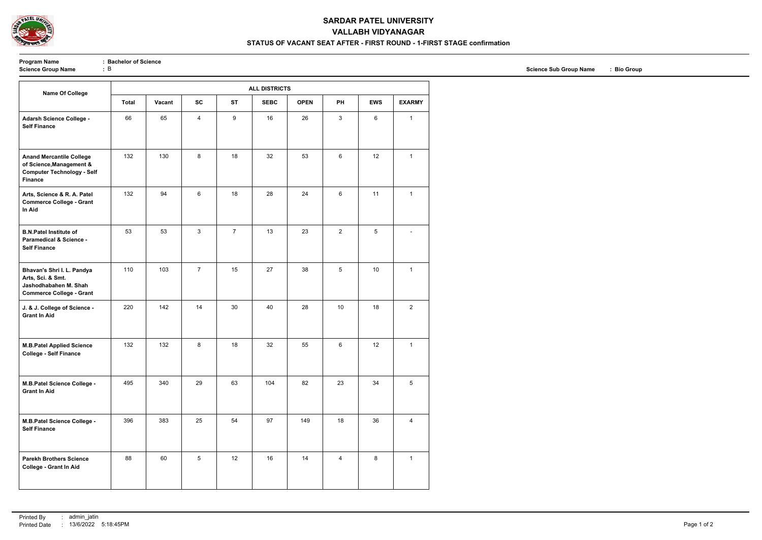

### **SARDAR PATEL UNIVERSITY**

# **VALLABH VIDYANAGAR**

#### **STATUS OF VACANT SEAT AFTER - FIRST ROUND - 1-FIRST STAGE confirmation**

**Program Name** : **Bachelor of Science**<br> **Science Group Name** : **B** 

| <b>Name Of College</b>                                                                                             | <b>ALL DISTRICTS</b> |        |                |                |             |             |                |            |                |  |
|--------------------------------------------------------------------------------------------------------------------|----------------------|--------|----------------|----------------|-------------|-------------|----------------|------------|----------------|--|
|                                                                                                                    | <b>Total</b>         | Vacant | <b>SC</b>      | <b>ST</b>      | <b>SEBC</b> | <b>OPEN</b> | PH             | <b>EWS</b> | <b>EXARMY</b>  |  |
| Adarsh Science College -<br><b>Self Finance</b>                                                                    | 66                   | 65     | $\overline{4}$ | 9              | 16          | 26          | 3              | 6          | $\mathbf{1}$   |  |
| <b>Anand Mercantile College</b><br>of Science, Management &<br><b>Computer Technology - Self</b><br><b>Finance</b> | 132                  | 130    | 8              | 18             | 32          | 53          | 6              | 12         | $\mathbf{1}$   |  |
| Arts, Science & R. A. Patel<br><b>Commerce College - Grant</b><br>In Aid                                           | 132                  | 94     | 6              | 18             | 28          | 24          | 6              | 11         | $\mathbf{1}$   |  |
| <b>B.N.Patel Institute of</b><br><b>Paramedical &amp; Science -</b><br><b>Self Finance</b>                         | 53                   | 53     | 3              | $\overline{7}$ | 13          | 23          | $\overline{2}$ | 5          |                |  |
| Bhavan's Shri I. L. Pandya<br>Arts, Sci. & Smt.<br>Jashodhabahen M. Shah<br><b>Commerce College - Grant</b>        | 110                  | 103    | $\overline{7}$ | 15             | 27          | 38          | 5              | 10         | $\mathbf{1}$   |  |
| J. & J. College of Science -<br><b>Grant In Aid</b>                                                                | 220                  | 142    | 14             | 30             | 40          | 28          | 10             | 18         | $\overline{2}$ |  |
| <b>M.B.Patel Applied Science</b><br><b>College - Self Finance</b>                                                  | 132                  | 132    | 8              | 18             | 32          | 55          | 6              | 12         | $\mathbf{1}$   |  |
| M.B.Patel Science College -<br><b>Grant In Aid</b>                                                                 | 495                  | 340    | 29             | 63             | 104         | 82          | 23             | 34         | 5              |  |
| M.B.Patel Science College -<br><b>Self Finance</b>                                                                 | 396                  | 383    | 25             | 54             | 97          | 149         | 18             | 36         | $\overline{4}$ |  |
| <b>Parekh Brothers Science</b><br><b>College - Grant In Aid</b>                                                    | 88                   | 60     | 5              | 12             | 16          | 14          | 4              | 8          | $\mathbf{1}$   |  |